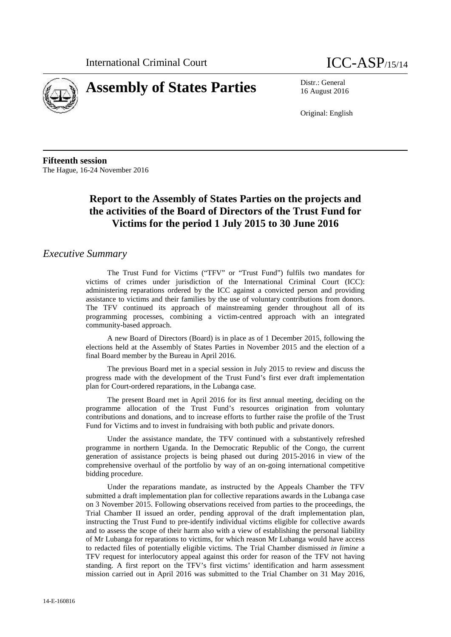



16 August 2016

Original: English

**Fifteenth session** The Hague, 16-24 November 2016

# **Report to the Assembly of States Parties on the projects and the activities of the Board of Directors of the Trust Fund for Victims for the period 1 July 2015 to 30 June 2016**

### *Executive Summary*

The Trust Fund for Victims ("TFV" or "Trust Fund") fulfils two mandates for victims of crimes under jurisdiction of the International Criminal Court (ICC): administering reparations ordered by the ICC against a convicted person and providing assistance to victims and their families by the use of voluntary contributions from donors. The TFV continued its approach of mainstreaming gender throughout all of its programming processes, combining a victim-centred approach with an integrated community-based approach.

A new Board of Directors (Board) is in place as of 1 December 2015, following the elections held at the Assembly of States Parties in November 2015 and the election of a final Board member by the Bureau in April 2016.

The previous Board met in a special session in July 2015 to review and discuss the progress made with the development of the Trust Fund's first ever draft implementation plan for Court-ordered reparations, in the Lubanga case.

The present Board met in April 2016 for its first annual meeting, deciding on the programme allocation of the Trust Fund's resources origination from voluntary contributions and donations, and to increase efforts to further raise the profile of the Trust Fund for Victims and to invest in fundraising with both public and private donors.

Under the assistance mandate, the TFV continued with a substantively refreshed programme in northern Uganda. In the Democratic Republic of the Congo, the current generation of assistance projects is being phased out during 2015-2016 in view of the comprehensive overhaul of the portfolio by way of an on-going international competitive bidding procedure.

Under the reparations mandate, as instructed by the Appeals Chamber the TFV submitted a draft implementation plan for collective reparations awards in the Lubanga case on 3 November 2015. Following observations received from parties to the proceedings, the Trial Chamber II issued an order, pending approval of the draft implementation plan, instructing the Trust Fund to pre-identify individual victims eligible for collective awards and to assess the scope of their harm also with a view of establishing the personal liability of Mr Lubanga for reparations to victims, for which reason Mr Lubanga would have access to redacted files of potentially eligible victims. The Trial Chamber dismissed *in limine* a TFV request for interlocutory appeal against this order for reason of the TFV not having standing. A first report on the TFV's first victims' identification and harm assessment mission carried out in April 2016 was submitted to the Trial Chamber on 31 May 2016,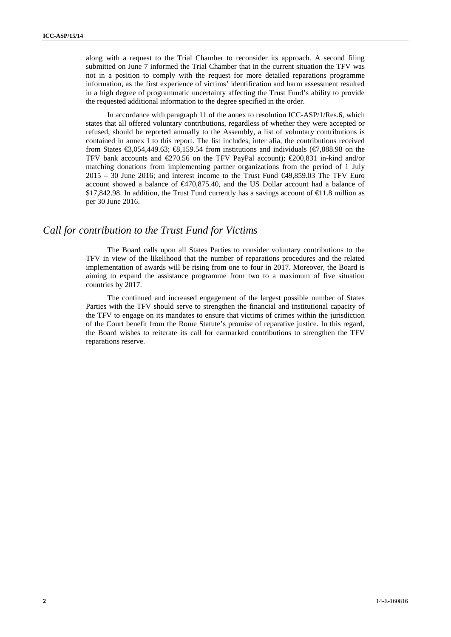along with a request to the Trial Chamber to reconsider its approach. A second filing submitted on June 7 informed the Trial Chamber that in the current situation the TFV was not in a position to comply with the request for more detailed reparations programme information, as the first experience of victims' identification and harm assessment resulted in a high degree of programmatic uncertainty affecting the Trust Fund's ability to provide the requested additional information to the degree specified in the order.

In accordance with paragraph 11 of the annex to resolution ICC-ASP/1/Res.6, which states that all offered voluntary contributions, regardless of whether they were accepted or refused, should be reported annually to the Assembly, a list of voluntary contributions is contained in annex I to this report. The list includes, inter alia, the contributions received from States  $\epsilon$ 3,054,449.63;  $\epsilon$ 3,159.54 from institutions and individuals ( $\epsilon$ 7,888.98 on the TFV bank accounts and  $\epsilon$ 270.56 on the TFV PayPal account);  $\epsilon$ 200,831 in-kind and/or matching donations from implementing partner organizations from the period of 1 July  $2015 - 30$  June 2016; and interest income to the Trust Fund  $\bigoplus 49,859.03$  The TFV Euro account showed a balance of  $\epsilon$ 470,875.40, and the US Dollar account had a balance of \$17,842.98. In addition, the Trust Fund currently has a savings account of  $\text{ } \in \text{ } 1.8 \text{ million as}$ per 30 June 2016.

# *Call for contribution to the Trust Fund for Victims*

The Board calls upon all States Parties to consider voluntary contributions to the TFV in view of the likelihood that the number of reparations procedures and the related implementation of awards will be rising from one to four in 2017. Moreover, the Board is aiming to expand the assistance programme from two to a maximum of five situation countries by 2017.

The continued and increased engagement of the largest possible number of States Parties with the TFV should serve to strengthen the financial and institutional capacity of the TFV to engage on its mandates to ensure that victims of crimes within the jurisdiction of the Court benefit from the Rome Statute's promise of reparative justice. In this regard, the Board wishes to reiterate its call for earmarked contributions to strengthen the TFV reparations reserve.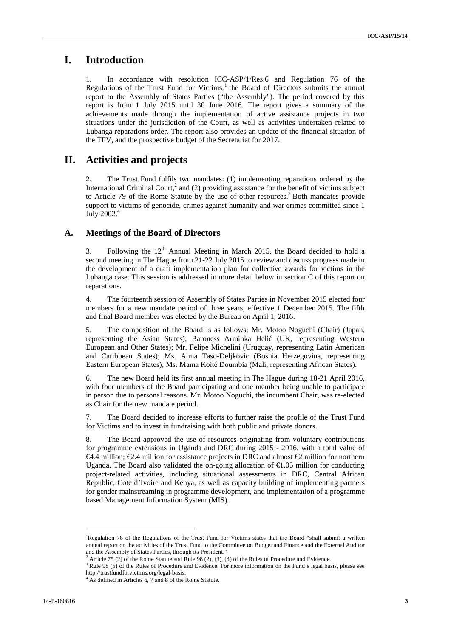# **I. Introduction**

1. In accordance with resolution ICC-ASP/1/Res.6 and Regulation 76 of the Regulations of the Trust Fund for Victims,<sup>1</sup> the Board of Directors submits the annual report to the Assembly of States Parties ("the Assembly"). The period covered by this report is from 1 July 2015 until 30 June 2016. The report gives a summary of the achievements made through the implementation of active assistance projects in two situations under the jurisdiction of the Court, as well as activities undertaken related to Lubanga reparations order. The report also provides an update of the financial situation of the TFV, and the prospective budget of the Secretariat for 2017.

# **II. Activities and projects**

2. The Trust Fund fulfils two mandates: (1) implementing reparations ordered by the International Criminal Court, $^2$  and (2) providing assistance for the benefit of victims subject to Article 79 of the Rome Statute by the use of other resources.<sup>3</sup> Both mandates provide support to victims of genocide, crimes against humanity and war crimes committed since 1 July 2002.<sup>4</sup>

# **A. Meetings of the Board of Directors**

3. Following the  $12<sup>th</sup>$  Annual Meeting in March 2015, the Board decided to hold a second meeting in The Hague from 21-22 July 2015 to review and discuss progress made in the development of a draft implementation plan for collective awards for victims in the Lubanga case. This session is addressed in more detail below in section C of this report on reparations.

4. The fourteenth session of Assembly of States Parties in November 2015 elected four members for a new mandate period of three years, effective 1 December 2015. The fifth and final Board member was elected by the Bureau on April 1, 2016.

5. The composition of the Board is as follows: Mr. Motoo Noguchi (Chair) (Japan, representing the Asian States); Baroness Arminka Heli (UK, representing Western European and Other States); Mr. Felipe Michelini (Uruguay, representing Latin American and Caribbean States); Ms. Alma Taso-Deljkovic (Bosnia Herzegovina, representing Eastern European States); Ms. Mama Koité Doumbia (Mali, representing African States).

6. The new Board held its first annual meeting in The Hague during 18-21 April 2016, with four members of the Board participating and one member being unable to participate in person due to personal reasons. Mr. Motoo Noguchi, the incumbent Chair, was re-elected as Chair for the new mandate period.

7. The Board decided to increase efforts to further raise the profile of the Trust Fund for Victims and to invest in fundraising with both public and private donors.

8. The Board approved the use of resources originating from voluntary contributions for programme extensions in Uganda and DRC during 2015 - 2016, with a total value of €4.4 million; €2.4 million for assistance projects in DRC and almost €2 million for northern Uganda. The Board also validated the on-going allocation of  $\epsilon 1.05$  million for conducting project-related activities, including situational assessments in DRC, Central African Republic, Cote d'Ivoire and Kenya, as well as capacity building of implementing partners for gender mainstreaming in programme development, and implementation of a programme based Management Information System (MIS).

<sup>&</sup>lt;sup>1</sup>Regulation 76 of the Regulations of the Trust Fund for Victims states that the Board "shall submit a written annual report on the activities of the Trust Fund to the Committee on Budget and Finance and the External Auditor and the Assembly of States Parties, through its President.'

<sup>&</sup>lt;sup>2</sup> Article 75 (2) of the Rome Statute and Rule 98 (2), (3), (4) of the Rules of Procedure and Evidence.

<sup>&</sup>lt;sup>3</sup> Rule 98 (5) of the Rules of Procedure and Evidence. For more information on the Fund's legal basis, please see http://trustfundforvictims.org/legal-basis. <sup>4</sup> As defined in Articles 6, 7 and 8 of the Rome Statute.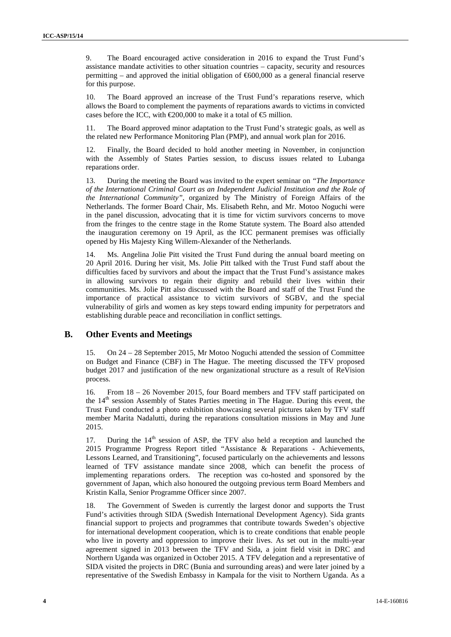9. The Board encouraged active consideration in 2016 to expand the Trust Fund's assistance mandate activities to other situation countries – capacity, security and resources permitting – and approved the initial obligation of  $600,000$  as a general financial reserve for this purpose.

10. The Board approved an increase of the Trust Fund's reparations reserve, which allows the Board to complement the payments of reparations awards to victims in convicted cases before the ICC, with  $\infty$  200,000 to make it a total of  $\oplus$  million.

11. The Board approved minor adaptation to the Trust Fund's strategic goals, as well as the related new Performance Monitoring Plan (PMP), and annual work plan for 2016.

12. Finally, the Board decided to hold another meeting in November, in conjunction with the Assembly of States Parties session, to discuss issues related to Lubanga reparations order.

13. During the meeting the Board was invited to the expert seminar on *"The Importance of the International Criminal Court as an Independent Judicial Institution and the Role of the International Community"*, organized by The Ministry of Foreign Affairs of the Netherlands. The former Board Chair, Ms. Elisabeth Rehn, and Mr. Motoo Noguchi were in the panel discussion, advocating that it is time for victim survivors concerns to move from the fringes to the centre stage in the Rome Statute system. The Board also attended the inauguration ceremony on 19 April, as the ICC permanent premises was officially opened by His Majesty King Willem-Alexander of the Netherlands.

14. Ms. Angelina Jolie Pitt visited the Trust Fund during the annual board meeting on 20 April 2016. During her visit, Ms. Jolie Pitt talked with the Trust Fund staff about the difficulties faced by survivors and about the impact that the Trust Fund's assistance makes in allowing survivors to regain their dignity and rebuild their lives within their communities. Ms. Jolie Pitt also discussed with the Board and staff of the Trust Fund the importance of practical assistance to victim survivors of SGBV, and the special vulnerability of girls and women as key steps toward ending impunity for perpetrators and establishing durable peace and reconciliation in conflict settings.

### **B. Other Events and Meetings**

15. On 24 – 28 September 2015, Mr Motoo Noguchi attended the session of Committee on Budget and Finance (CBF) in The Hague. The meeting discussed the TFV proposed budget 2017 and justification of the new organizational structure as a result of ReVision process.

16. From 18 – 26 November 2015, four Board members and TFV staff participated on the 14<sup>th</sup> session Assembly of States Parties meeting in The Hague. During this event, the Trust Fund conducted a photo exhibition showcasing several pictures taken by TFV staff member Marita Nadalutti, during the reparations consultation missions in May and June 2015.

17. During the  $14<sup>th</sup>$  session of ASP, the TFV also held a reception and launched the 2015 Programme Progress Report titled "Assistance & Reparations - Achievements, Lessons Learned, and Transitioning", focused particularly on the achievements and lessons learned of TFV assistance mandate since 2008, which can benefit the process of implementing reparations orders. The reception was co-hosted and sponsored by the government of Japan, which also honoured the outgoing previous term Board Members and Kristin Kalla, Senior Programme Officer since 2007.

18. The Government of Sweden is currently the largest donor and supports the Trust Fund's activities through SIDA (Swedish International Development Agency). Sida grants financial support to projects and programmes that contribute towards Sweden's objective for international development cooperation, which is to create conditions that enable people who live in poverty and oppression to improve their lives. As set out in the multi-year agreement signed in 2013 between the TFV and Sida, a joint field visit in DRC and Northern Uganda was organized in October 2015. A TFV delegation and a representative of SIDA visited the projects in DRC (Bunia and surrounding areas) and were later joined by a representative of the Swedish Embassy in Kampala for the visit to Northern Uganda. As a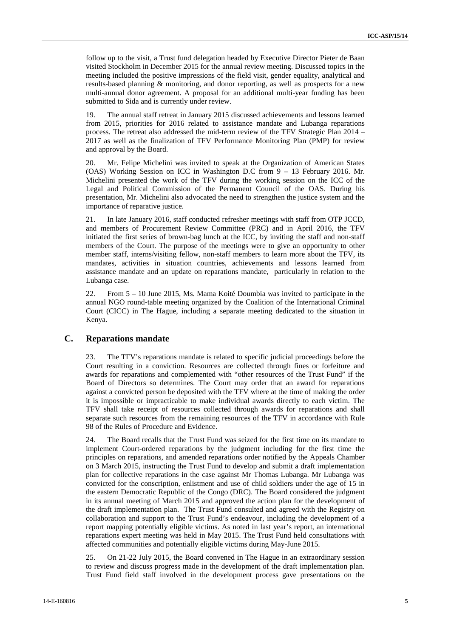follow up to the visit, a Trust fund delegation headed by Executive Director Pieter de Baan visited Stockholm in December 2015 for the annual review meeting. Discussed topics in the meeting included the positive impressions of the field visit, gender equality, analytical and results-based planning & monitoring, and donor reporting, as well as prospects for a new multi-annual donor agreement. A proposal for an additional multi-year funding has been submitted to Sida and is currently under review.

19. The annual staff retreat in January 2015 discussed achievements and lessons learned from 2015, priorities for 2016 related to assistance mandate and Lubanga reparations process. The retreat also addressed the mid-term review of the TFV Strategic Plan 2014 – 2017 as well as the finalization of TFV Performance Monitoring Plan (PMP) for review and approval by the Board.

20. Mr. Felipe Michelini was invited to speak at the Organization of American States (OAS) Working Session on ICC in Washington D.C from 9 – 13 February 2016. Mr. Michelini presented the work of the TFV during the working session on the ICC of the Legal and Political Commission of the Permanent Council of the OAS. During his presentation, Mr. Michelini also advocated the need to strengthen the justice system and the importance of reparative justice.

21. In late January 2016, staff conducted refresher meetings with staff from OTP JCCD, and members of Procurement Review Committee (PRC) and in April 2016, the TFV initiated the first series of brown-bag lunch at the ICC, by inviting the staff and non-staff members of the Court. The purpose of the meetings were to give an opportunity to other member staff, interns/visiting fellow, non-staff members to learn more about the TFV, its mandates, activities in situation countries, achievements and lessons learned from assistance mandate and an update on reparations mandate, particularly in relation to the Lubanga case.

22. From 5 – 10 June 2015, Ms. Mama Koité Doumbia was invited to participate in the annual NGO round-table meeting organized by the Coalition of the International Criminal Court (CICC) in The Hague, including a separate meeting dedicated to the situation in Kenya.

### **C. Reparations mandate**

23. The TFV's reparations mandate is related to specific judicial proceedings before the Court resulting in a conviction. Resources are collected through fines or forfeiture and awards for reparations and complemented with "other resources of the Trust Fund" if the Board of Directors so determines. The Court may order that an award for reparations against a convicted person be deposited with the TFV where at the time of making the order it is impossible or impracticable to make individual awards directly to each victim. The TFV shall take receipt of resources collected through awards for reparations and shall separate such resources from the remaining resources of the TFV in accordance with Rule 98 of the Rules of Procedure and Evidence.

24. The Board recalls that the Trust Fund was seized for the first time on its mandate to implement Court-ordered reparations by the judgment including for the first time the principles on reparations, and amended reparations order notified by the Appeals Chamber on 3 March 2015, instructing the Trust Fund to develop and submit a draft implementation plan for collective reparations in the case against Mr Thomas Lubanga. Mr Lubanga was convicted for the conscription, enlistment and use of child soldiers under the age of 15 in the eastern Democratic Republic of the Congo (DRC). The Board considered the judgment in its annual meeting of March 2015 and approved the action plan for the development of the draft implementation plan. The Trust Fund consulted and agreed with the Registry on collaboration and support to the Trust Fund's endeavour, including the development of a report mapping potentially eligible victims. As noted in last year's report, an international reparations expert meeting was held in May 2015. The Trust Fund held consultations with affected communities and potentially eligible victims during May-June 2015.

25. On 21-22 July 2015, the Board convened in The Hague in an extraordinary session to review and discuss progress made in the development of the draft implementation plan. Trust Fund field staff involved in the development process gave presentations on the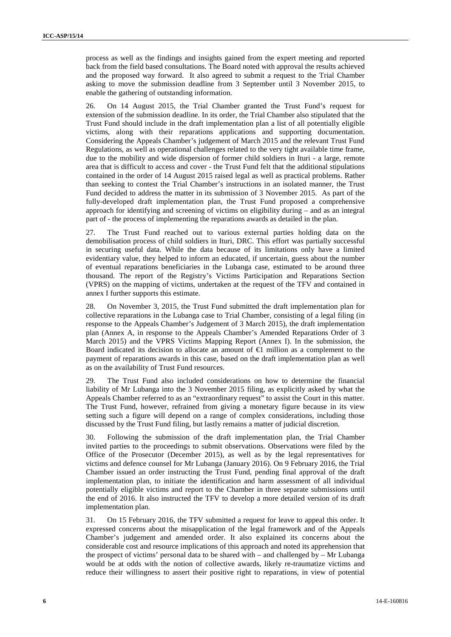process as well as the findings and insights gained from the expert meeting and reported back from the field based consultations. The Board noted with approval the results achieved and the proposed way forward. It also agreed to submit a request to the Trial Chamber asking to move the submission deadline from 3 September until 3 November 2015, to enable the gathering of outstanding information.

26. On 14 August 2015, the Trial Chamber granted the Trust Fund's request for extension of the submission deadline. In its order, the Trial Chamber also stipulated that the Trust Fund should include in the draft implementation plan a list of all potentially eligible victims, along with their reparations applications and supporting documentation. Considering the Appeals Chamber's judgement of March 2015 and the relevant Trust Fund Regulations, as well as operational challenges related to the very tight available time frame, due to the mobility and wide dispersion of former child soldiers in Ituri - a large, remote area that is difficult to access and cover - the Trust Fund felt that the additional stipulations contained in the order of 14 August 2015 raised legal as well as practical problems. Rather than seeking to contest the Trial Chamber's instructions in an isolated manner, the Trust Fund decided to address the matter in its submission of 3 November 2015. As part of the fully-developed draft implementation plan, the Trust Fund proposed a comprehensive approach for identifying and screening of victims on eligibility during – and as an integral part of - the process of implementing the reparations awards as detailed in the plan.

27. The Trust Fund reached out to various external parties holding data on the demobilisation process of child soldiers in Ituri, DRC. This effort was partially successful in securing useful data. While the data because of its limitations only have a limited evidentiary value, they helped to inform an educated, if uncertain, guess about the number of eventual reparations beneficiaries in the Lubanga case, estimated to be around three thousand. The report of the Registry's Victims Participation and Reparations Section (VPRS) on the mapping of victims, undertaken at the request of the TFV and contained in annex I further supports this estimate.

28. On November 3, 2015, the Trust Fund submitted the draft implementation plan for collective reparations in the Lubanga case to Trial Chamber, consisting of a legal filing (in response to the Appeals Chamber's Judgement of 3 March 2015), the draft implementation plan (Annex A, in response to the Appeals Chamber's Amended Reparations Order of 3 March 2015) and the VPRS Victims Mapping Report (Annex I). In the submission, the Board indicated its decision to allocate an amount of  $\bigoplus$  million as a complement to the payment of reparations awards in this case, based on the draft implementation plan as well as on the availability of Trust Fund resources.

29. The Trust Fund also included considerations on how to determine the financial liability of Mr Lubanga into the 3 November 2015 filing, as explicitly asked by what the Appeals Chamber referred to as an "extraordinary request" to assist the Court in this matter. The Trust Fund, however, refrained from giving a monetary figure because in its view setting such a figure will depend on a range of complex considerations, including those discussed by the Trust Fund filing, but lastly remains a matter of judicial discretion.

30. Following the submission of the draft implementation plan, the Trial Chamber invited parties to the proceedings to submit observations. Observations were filed by the Office of the Prosecutor (December 2015), as well as by the legal representatives for victims and defence counsel for Mr Lubanga (January 2016). On 9 February 2016, the Trial Chamber issued an order instructing the Trust Fund, pending final approval of the draft implementation plan, to initiate the identification and harm assessment of all individual potentially eligible victims and report to the Chamber in three separate submissions until the end of 2016. It also instructed the TFV to develop a more detailed version of its draft implementation plan.

31. On 15 February 2016, the TFV submitted a request for leave to appeal this order. It expressed concerns about the misapplication of the legal framework and of the Appeals Chamber's judgement and amended order. It also explained its concerns about the considerable cost and resource implications of this approach and noted its apprehension that the prospect of victims' personal data to be shared with – and challenged by – Mr Lubanga would be at odds with the notion of collective awards, likely re-traumatize victims and reduce their willingness to assert their positive right to reparations, in view of potential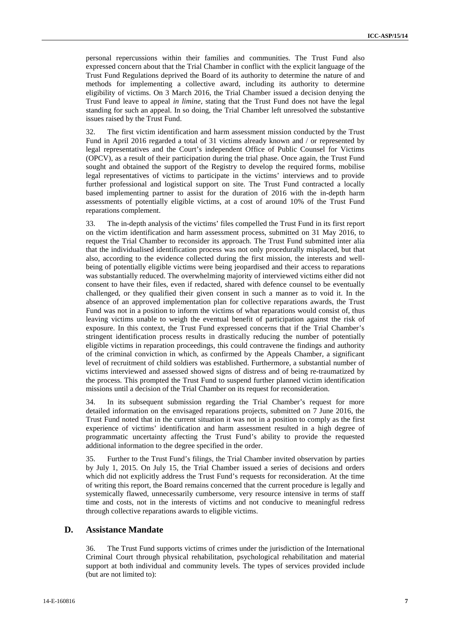personal repercussions within their families and communities. The Trust Fund also expressed concern about that the Trial Chamber in conflict with the explicit language of the Trust Fund Regulations deprived the Board of its authority to determine the nature of and methods for implementing a collective award, including its authority to determine eligibility of victims. On 3 March 2016, the Trial Chamber issued a decision denying the Trust Fund leave to appeal *in limine*, stating that the Trust Fund does not have the legal standing for such an appeal. In so doing, the Trial Chamber left unresolved the substantive issues raised by the Trust Fund.

32. The first victim identification and harm assessment mission conducted by the Trust Fund in April 2016 regarded a total of 31 victims already known and / or represented by legal representatives and the Court's independent Office of Public Counsel for Victims (OPCV), as a result of their participation during the trial phase. Once again, the Trust Fund sought and obtained the support of the Registry to develop the required forms, mobilise legal representatives of victims to participate in the victims' interviews and to provide further professional and logistical support on site. The Trust Fund contracted a locally based implementing partner to assist for the duration of 2016 with the in-depth harm assessments of potentially eligible victims, at a cost of around 10% of the Trust Fund reparations complement.

33. The in-depth analysis of the victims' files compelled the Trust Fund in its first report on the victim identification and harm assessment process, submitted on 31 May 2016, to request the Trial Chamber to reconsider its approach. The Trust Fund submitted inter alia that the individualised identification process was not only procedurally misplaced, but that also, according to the evidence collected during the first mission, the interests and well being of potentially eligible victims were being jeopardised and their access to reparations was substantially reduced. The overwhelming majority of interviewed victims either did not consent to have their files, even if redacted, shared with defence counsel to be eventually challenged, or they qualified their given consent in such a manner as to void it. In the absence of an approved implementation plan for collective reparations awards, the Trust Fund was not in a position to inform the victims of what reparations would consist of, thus leaving victims unable to weigh the eventual benefit of participation against the risk of exposure. In this context, the Trust Fund expressed concerns that if the Trial Chamber's stringent identification process results in drastically reducing the number of potentially eligible victims in reparation proceedings, this could contravene the findings and authority of the criminal conviction in which, as confirmed by the Appeals Chamber, a significant level of recruitment of child soldiers was established. Furthermore, a substantial number of victims interviewed and assessed showed signs of distress and of being re-traumatized by the process. This prompted the Trust Fund to suspend further planned victim identification missions until a decision of the Trial Chamber on its request for reconsideration.

34. In its subsequent submission regarding the Trial Chamber's request for more detailed information on the envisaged reparations projects, submitted on 7 June 2016, the Trust Fund noted that in the current situation it was not in a position to comply as the first experience of victims' identification and harm assessment resulted in a high degree of programmatic uncertainty affecting the Trust Fund's ability to provide the requested additional information to the degree specified in the order.

35. Further to the Trust Fund's filings, the Trial Chamber invited observation by parties by July 1, 2015. On July 15, the Trial Chamber issued a series of decisions and orders which did not explicitly address the Trust Fund's requests for reconsideration. At the time of writing this report, the Board remains concerned that the current procedure is legally and systemically flawed, unnecessarily cumbersome, very resource intensive in terms of staff time and costs, not in the interests of victims and not conducive to meaningful redress through collective reparations awards to eligible victims.

### **D. Assistance Mandate**

36. The Trust Fund supports victims of crimes under the jurisdiction of the International Criminal Court through physical rehabilitation, psychological rehabilitation and material support at both individual and community levels. The types of services provided include (but are not limited to):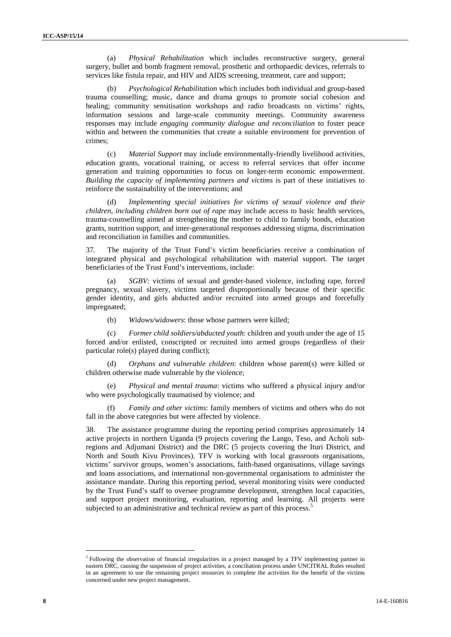(a) *Physical Rehabilitation* which includes reconstructive surgery, general surgery, bullet and bomb fragment removal, prosthetic and orthopaedic devices, referrals to services like fistula repair, and HIV and AIDS screening, treatment, care and support;

(b) *Psychological Rehabilitation* which includes both individual and group-based trauma counselling; music, dance and drama groups to promote social cohesion and healing; community sensitisation workshops and radio broadcasts on victims' rights, information sessions and large-scale community meetings. Community awareness responses may include *engaging community dialogue and reconciliation* to foster peace within and between the communities that create a suitable environment for prevention of crimes;

(c) *Material Support* may include environmentally-friendly livelihood activities, education grants, vocational training, or access to referral services that offer income generation and training opportunities to focus on longer-term economic empowerment. *Building the capacity of implementing partners and victims* is part of these initiatives to reinforce the sustainability of the interventions; and

(d) *Implementing special initiatives for victims of sexual violence and their children, including children born out of rape* may include access to basic health services, trauma-counselling aimed at strengthening the mother to child to family bonds, education grants, nutrition support, and inter-generational responses addressing stigma, discrimination and reconciliation in families and communities.

37. The majority of the Trust Fund's victim beneficiaries receive a combination of integrated physical and psychological rehabilitation with material support. The target beneficiaries of the Trust Fund's interventions, include:

(a) *SGBV:* victims of sexual and gender-based violence, including rape, forced pregnancy, sexual slavery, victims targeted disproportionally because of their specific gender identity, and girls abducted and/or recruited into armed groups and forcefully impregnated;

(b) *Widows/widowers*: those whose partners were killed;

(c) *Former child soldiers/abducted youth*: children and youth under the age of 15 forced and/or enlisted, conscripted or recruited into armed groups (regardless of their particular role(s) played during conflict);

(d) *Orphans and vulnerable children*: children whose parent(s) were killed or children otherwise made vulnerable by the violence;

*Physical and mental trauma*: victims who suffered a physical injury and/or who were psychologically traumatised by violence; and

(f) *Family and other victims*: family members of victims and others who do not fall in the above categories but were affected by violence.

38. The assistance programme during the reporting period comprises approximately 14 active projects in northern Uganda (9 projects covering the Lango, Teso, and Acholi subregions and Adjumani District) and the DRC (5 projects covering the Ituri District, and North and South Kivu Provinces). TFV is working with local grassroots organisations, victims' survivor groups, women's associations, faith-based organisations, village savings and loans associations, and international non-governmental organisations to administer the assistance mandate. During this reporting period, several monitoring visits were conducted by the Trust Fund's staff to oversee programme development, strengthen local capacities, and support project monitoring, evaluation, reporting and learning. All projects were subjected to an administrative and technical review as part of this process.<sup>5</sup>

<sup>&</sup>lt;sup>5</sup> Following the observation of financial irregularities in a project managed by a TFV implementing partner in eastern DRC, causing the suspension of project activities, a conciliation process under UNCITRAL Rules resulted in an agreement to use the remaining project resources to complete the activities for the benefit of the victims concerned under new project management.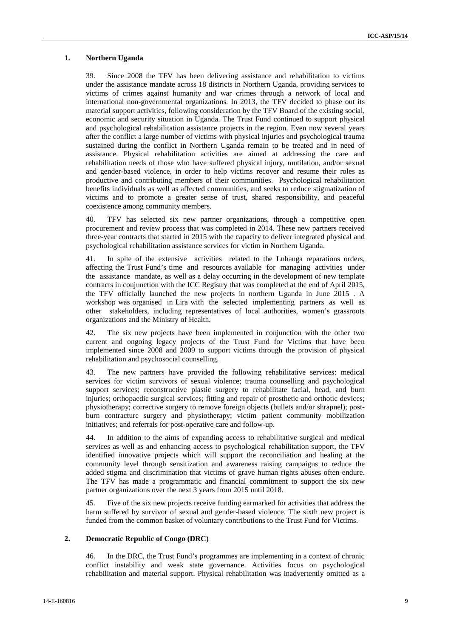#### **1. Northern Uganda**

39. Since 2008 the TFV has been delivering assistance and rehabilitation to victims under the assistance mandate across 18 districts in Northern Uganda, providing services to victims of crimes against humanity and war crimes through a network of local and international non-governmental organizations. In 2013, the TFV decided to phase out its material support activities, following consideration by the TFV Board of the existing social, economic and security situation in Uganda. The Trust Fund continued to support physical and psychological rehabilitation assistance projects in the region. Even now several years after the conflict a large number of victims with physical injuries and psychological trauma sustained during the conflict in Northern Uganda remain to be treated and in need of assistance. Physical rehabilitation activities are aimed at addressing the care and rehabilitation needs of those who have suffered physical injury, mutilation, and/or sexual and gender-based violence, in order to help victims recover and resume their roles as productive and contributing members of their communities. Psychological rehabilitation benefits individuals as well as affected communities, and seeks to reduce stigmatization of victims and to promote a greater sense of trust, shared responsibility, and peaceful coexistence among community members.

40. TFV has selected six new partner organizations, through a competitive open procurement and review process that was completed in 2014. These new partners received three-year contracts that started in 2015 with the capacity to deliver integrated physical and psychological rehabilitation assistance services for victim in Northern Uganda.

41. In spite of the extensive activities related to the Lubanga reparations orders, affecting the Trust Fund's time and resources available for managing activities under the assistance mandate, as well as a delay occurring in the development of new template contracts in conjunction with the ICC Registry that was completed at the end of April 2015, the TFV officially launched the new projects in northern Uganda in June 2015 . A workshop was organised in Lira with the selected implementing partners as well as other stakeholders, including representatives of local authorities, women's grassroots organizations and the Ministry of Health.

42. The six new projects have been implemented in conjunction with the other two current and ongoing legacy projects of the Trust Fund for Victims that have been implemented since 2008 and 2009 to support victims through the provision of physical rehabilitation and psychosocial counselling.

43. The new partners have provided the following rehabilitative services: medical services for victim survivors of sexual violence; trauma counselling and psychological support services; reconstructive plastic surgery to rehabilitate facial, head, and burn injuries; orthopaedic surgical services; fitting and repair of prosthetic and orthotic devices; physiotherapy; corrective surgery to remove foreign objects (bullets and/or shrapnel); post burn contracture surgery and physiotherapy; victim patient community mobilization initiatives; and referrals for post-operative care and follow-up.

44. In addition to the aims of expanding access to rehabilitative surgical and medical services as well as and enhancing access to psychological rehabilitation support, the TFV identified innovative projects which will support the reconciliation and healing at the community level through sensitization and awareness raising campaigns to reduce the added stigma and discrimination that victims of grave human rights abuses often endure. The TFV has made a programmatic and financial commitment to support the six new partner organizations over the next 3 years from 2015 until 2018.

45. Five of the six new projects receive funding earmarked for activities that address the harm suffered by survivor of sexual and gender-based violence. The sixth new project is funded from the common basket of voluntary contributions to the Trust Fund for Victims.

#### **2. Democratic Republic of Congo (DRC)**

46. In the DRC, the Trust Fund's programmes are implementing in a context of chronic conflict instability and weak state governance. Activities focus on psychological rehabilitation and material support. Physical rehabilitation was inadvertently omitted as a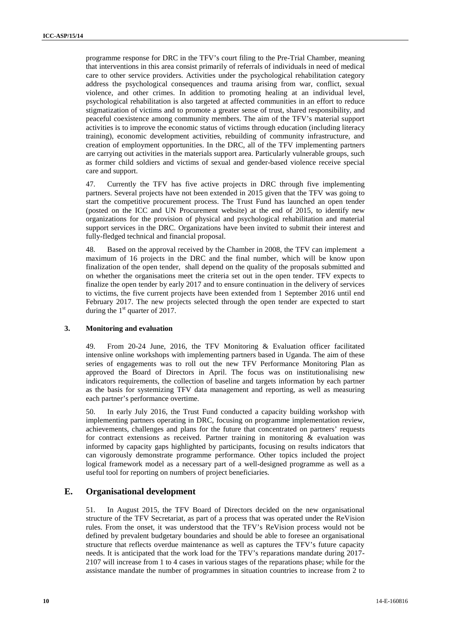programme response for DRC in the TFV's court filing to the Pre-Trial Chamber, meaning that interventions in this area consist primarily of referrals of individuals in need of medical care to other service providers. Activities under the psychological rehabilitation category address the psychological consequences and trauma arising from war, conflict, sexual violence, and other crimes. In addition to promoting healing at an individual level, psychological rehabilitation is also targeted at affected communities in an effort to reduce stigmatization of victims and to promote a greater sense of trust, shared responsibility, and peaceful coexistence among community members. The aim of the TFV's material support activities is to improve the economic status of victims through education (including literacy training), economic development activities, rebuilding of community infrastructure, and creation of employment opportunities. In the DRC, all of the TFV implementing partners are carrying out activities in the materials support area. Particularly vulnerable groups, such as former child soldiers and victims of sexual and gender-based violence receive special care and support.

47. Currently the TFV has five active projects in DRC through five implementing partners. Several projects have not been extended in 2015 given that the TFV was going to start the competitive procurement process. The Trust Fund has launched an open tender (posted on the ICC and UN Procurement website) at the end of 2015, to identify new organizations for the provision of physical and psychological rehabilitation and material support services in the DRC. Organizations have been invited to submit their interest and fully-fledged technical and financial proposal.

48. Based on the approval received by the Chamber in 2008, the TFV can implement a maximum of 16 projects in the DRC and the final number, which will be know upon finalization of the open tender, shall depend on the quality of the proposals submitted and on whether the organisations meet the criteria set out in the open tender. TFV expects to finalize the open tender by early 2017 and to ensure continuation in the delivery of services to victims, the five current projects have been extended from 1 September 2016 until end February 2017. The new projects selected through the open tender are expected to start during the  $1<sup>st</sup>$  quarter of 2017.

#### **3. Monitoring and evaluation**

49. From 20-24 June, 2016, the TFV Monitoring & Evaluation officer facilitated intensive online workshops with implementing partners based in Uganda. The aim of these series of engagements was to roll out the new TFV Performance Monitoring Plan as approved the Board of Directors in April. The focus was on institutionalising new indicators requirements, the collection of baseline and targets information by each partner as the basis for systemizing TFV data management and reporting, as well as measuring each partner's performance overtime.

50. In early July 2016, the Trust Fund conducted a capacity building workshop with implementing partners operating in DRC, focusing on programme implementation review, achievements, challenges and plans for the future that concentrated on partners' requests for contract extensions as received. Partner training in monitoring & evaluation was informed by capacity gaps highlighted by participants, focusing on results indicators that can vigorously demonstrate programme performance. Other topics included the project logical framework model as a necessary part of a well-designed programme as well as a useful tool for reporting on numbers of project beneficiaries.

### **E. Organisational development**

51. In August 2015, the TFV Board of Directors decided on the new organisational structure of the TFV Secretariat, as part of a process that was operated under the ReVision rules. From the onset, it was understood that the TFV's ReVision process would not be defined by prevalent budgetary boundaries and should be able to foresee an organisational structure that reflects overdue maintenance as well as captures the TFV's future capacity needs. It is anticipated that the work load for the TFV's reparations mandate during 2017- 2107 will increase from 1 to 4 cases in various stages of the reparations phase; while for the assistance mandate the number of programmes in situation countries to increase from 2 to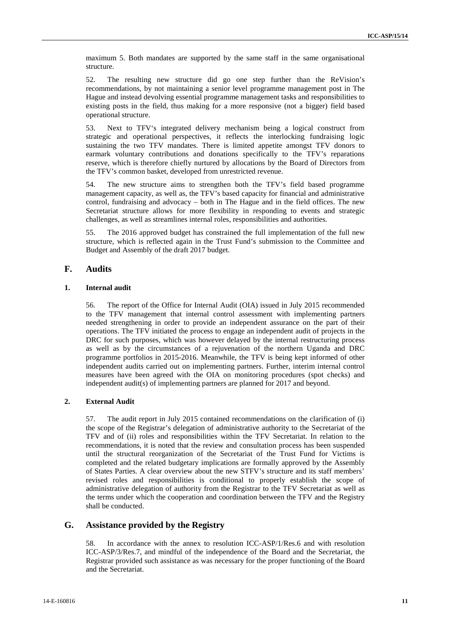maximum 5. Both mandates are supported by the same staff in the same organisational structure.

52. The resulting new structure did go one step further than the ReVision's recommendations, by not maintaining a senior level programme management post in The Hague and instead devolving essential programme management tasks and responsibilities to existing posts in the field, thus making for a more responsive (not a bigger) field based operational structure.

53. Next to TFV's integrated delivery mechanism being a logical construct from strategic and operational perspectives, it reflects the interlocking fundraising logic sustaining the two TFV mandates. There is limited appetite amongst TFV donors to earmark voluntary contributions and donations specifically to the TFV's reparations reserve, which is therefore chiefly nurtured by allocations by the Board of Directors from the TFV's common basket, developed from unrestricted revenue.

54. The new structure aims to strengthen both the TFV's field based programme management capacity, as well as, the TFV's based capacity for financial and administrative control, fundraising and advocacy – both in The Hague and in the field offices. The new Secretariat structure allows for more flexibility in responding to events and strategic challenges, as well as streamlines internal roles, responsibilities and authorities.

55. The 2016 approved budget has constrained the full implementation of the full new structure, which is reflected again in the Trust Fund's submission to the Committee and Budget and Assembly of the draft 2017 budget.

### **F. Audits**

#### **1. Internal audit**

56. The report of the Office for Internal Audit (OIA) issued in July 2015 recommended to the TFV management that internal control assessment with implementing partners needed strengthening in order to provide an independent assurance on the part of their operations. The TFV initiated the process to engage an independent audit of projects in the DRC for such purposes, which was however delayed by the internal restructuring process as well as by the circumstances of a rejuvenation of the northern Uganda and DRC programme portfolios in 2015-2016. Meanwhile, the TFV is being kept informed of other independent audits carried out on implementing partners. Further, interim internal control measures have been agreed with the OIA on monitoring procedures (spot checks) and independent audit(s) of implementing partners are planned for 2017 and beyond.

#### **2. External Audit**

57. The audit report in July 2015 contained recommendations on the clarification of (i) the scope of the Registrar's delegation of administrative authority to the Secretariat of the TFV and of (ii) roles and responsibilities within the TFV Secretariat. In relation to the recommendations, it is noted that the review and consultation process has been suspended until the structural reorganization of the Secretariat of the Trust Fund for Victims is completed and the related budgetary implications are formally approved by the Assembly of States Parties. A clear overview about the new STFV's structure and its staff members' revised roles and responsibilities is conditional to properly establish the scope of administrative delegation of authority from the Registrar to the TFV Secretariat as well as the terms under which the cooperation and coordination between the TFV and the Registry shall be conducted.

### **G. Assistance provided by the Registry**

58. In accordance with the annex to resolution ICC-ASP/1/Res.6 and with resolution ICC-ASP/3/Res.7, and mindful of the independence of the Board and the Secretariat, the Registrar provided such assistance as was necessary for the proper functioning of the Board and the Secretariat.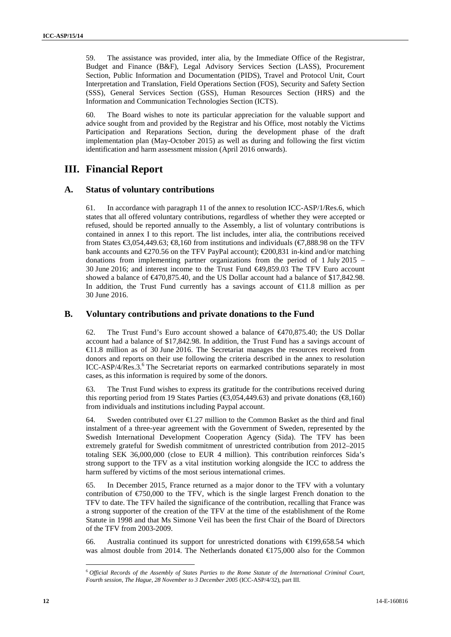59. The assistance was provided, inter alia, by the Immediate Office of the Registrar, Budget and Finance (B&F), Legal Advisory Services Section (LASS), Procurement Section, Public Information and Documentation (PIDS), Travel and Protocol Unit, Court Interpretation and Translation, Field Operations Section (FOS), Security and Safety Section (SSS), General Services Section (GSS), Human Resources Section (HRS) and the Information and Communication Technologies Section (ICTS).

60. The Board wishes to note its particular appreciation for the valuable support and advice sought from and provided by the Registrar and his Office, most notably the Victims Participation and Reparations Section, during the development phase of the draft implementation plan (May-October 2015) as well as during and following the first victim identification and harm assessment mission (April 2016 onwards).

# **III. Financial Report**

### **A. Status of voluntary contributions**

61. In accordance with paragraph 11 of the annex to resolution ICC-ASP/1/Res.6, which states that all offered voluntary contributions, regardless of whether they were accepted or refused, should be reported annually to the Assembly, a list of voluntary contributions is contained in annex I to this report. The list includes, inter alia, the contributions received from States  $\text{ } \in \infty, 0.54, 449.63; \text{ } \infty, 160$  from institutions and individuals ( $\text{ } \in \infty, 888.98$  on the TFV bank accounts and  $\text{\textsterling}270.56$  on the TFV PayPal account);  $\text{\textsterling}200,831$  in-kind and/or matching donations from implementing partner organizations from the period of 1 July 2015 – 30 June 2016; and interest income to the Trust Fund €49,859.03 The TFV Euro account showed a balance of  $\in$ 470,875.40, and the US Dollar account had a balance of \$17,842.98. In addition, the Trust Fund currently has a savings account of  $\in$ 1.8 million as per 30 June 2016.

### **B. Voluntary contributions and private donations to the Fund**

62. The Trust Fund's Euro account showed a balance of  $\leftarrow$ 470,875.40; the US Dollar account had a balance of \$17,842.98. In addition, the Trust Fund has a savings account of €11.8 million as of 30 June 2016. The Secretariat manages the resources received from donors and reports on their use following the criteria described in the annex to resolution ICC-ASP/4/Res.3.<sup>6</sup> The Secretariat reports on earmarked contributions separately in most cases, as this information is required by some of the donors.

63. The Trust Fund wishes to express its gratitude for the contributions received during this reporting period from 19 States Parties ( $\epsilon$ 3,054,449.63) and private donations ( $\epsilon$ 8,160) from individuals and institutions including Paypal account.

64. Sweden contributed over  $\epsilon$ 1.27 million to the Common Basket as the third and final instalment of a three-year agreement with the Government of Sweden, represented by the Swedish International Development Cooperation Agency (Sida). The TFV has been extremely grateful for Swedish commitment of unrestricted contribution from 2012–2015 totaling SEK 36,000,000 (close to EUR 4 million). This contribution reinforces Sida's strong support to the TFV as a vital institution working alongside the ICC to address the harm suffered by victims of the most serious international crimes.

65. In December 2015, France returned as a major donor to the TFV with a voluntary contribution of  $\epsilon$ 750,000 to the TFV, which is the single largest French donation to the TFV to date. The TFV hailed the significance of the contribution, recalling that France was a strong supporter of the creation of the TFV at the time of the establishment of the Rome Statute in 1998 and that Ms Simone Veil has been the first Chair of the Board of Directors of the TFV from 2003-2009.

66. Australia continued its support for unrestricted donations with €199,658.54 which was almost double from 2014. The Netherlands donated €175,000 also for the Common

<sup>6</sup> *Official Records of the Assembly of States Parties to the Rome Statute of the International Criminal Court, Fourth session, The Hague, 28 November to 3 December 2005* (ICC-ASP/4/32), part III.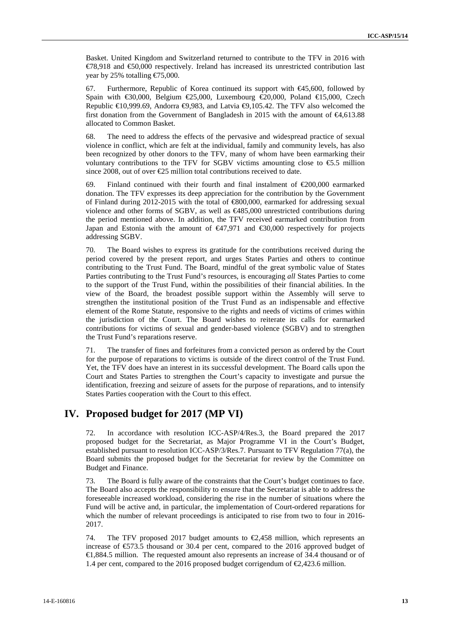Basket. United Kingdom and Switzerland returned to contribute to the TFV in 2016 with €78,918 and €50,000 respectively. Ireland has increased its unrestricted contribution last year by 25% totalling  $\epsilon$ 75,000.

67. Furthermore, Republic of Korea continued its support with  $\bigoplus$ 5,600, followed by Spain with  $\text{\textsterling}0,000$ , Belgium  $\text{\textsterling}25,000$ , Luxembourg  $\text{\textsterling}20,000$ , Poland  $\text{\textsterling}15,000$ , Czech Republic  $\in 0.999.69$ . Andorra  $\in \{9.983, \text{ and Lativa } \in \{9.105.42, \text{ The TFV also}$  welcomed the first donation from the Government of Bangladesh in 2015 with the amount of €4,613.88 allocated to Common Basket.

68. The need to address the effects of the pervasive and widespread practice of sexual violence in conflict, which are felt at the individual, family and community levels, has also been recognized by other donors to the TFV, many of whom have been earmarking their voluntary contributions to the TFV for SGBV victims amounting close to  $\epsilon$ 5.5 million since 2008, out of over  $\epsilon$ 25 million total contributions received to date.

69. Finland continued with their fourth and final instalment of  $\epsilon$ 200,000 earmarked donation. The TFV expresses its deep appreciation for the contribution by the Government of Finland during 2012-2015 with the total of €800,000, earmarked for addressing sexual violence and other forms of SGBV, as well as €485,000 unrestricted contributions during the period mentioned above. In addition, the TFV received earmarked contribution from Japan and Estonia with the amount of  $\bigoplus$ 7,971 and  $\bigoplus$ 0,000 respectively for projects addressing SGBV.

70. The Board wishes to express its gratitude for the contributions received during the period covered by the present report, and urges States Parties and others to continue contributing to the Trust Fund. The Board, mindful of the great symbolic value of States Parties contributing to the Trust Fund's resources, is encouraging *all* States Parties to come to the support of the Trust Fund, within the possibilities of their financial abilities. In the view of the Board, the broadest possible support within the Assembly will serve to strengthen the institutional position of the Trust Fund as an indispensable and effective element of the Rome Statute, responsive to the rights and needs of victims of crimes within the jurisdiction of the Court. The Board wishes to reiterate its calls for earmarked contributions for victims of sexual and gender-based violence (SGBV) and to strengthen the Trust Fund's reparations reserve.

71. The transfer of fines and forfeitures from a convicted person as ordered by the Court for the purpose of reparations to victims is outside of the direct control of the Trust Fund. Yet, the TFV does have an interest in its successful development. The Board calls upon the Court and States Parties to strengthen the Court's capacity to investigate and pursue the identification, freezing and seizure of assets for the purpose of reparations, and to intensify States Parties cooperation with the Court to this effect.

# **IV. Proposed budget for 2017 (MP VI)**

72. In accordance with resolution ICC-ASP/4/Res.3, the Board prepared the 2017 proposed budget for the Secretariat, as Major Programme VI in the Court's Budget, established pursuant to resolution ICC-ASP/3/Res.7. Pursuant to TFV Regulation 77(a), the Board submits the proposed budget for the Secretariat for review by the Committee on Budget and Finance.

73. The Board is fully aware of the constraints that the Court's budget continues to face. The Board also accepts the responsibility to ensure that the Secretariat is able to address the foreseeable increased workload, considering the rise in the number of situations where the Fund will be active and, in particular, the implementation of Court-ordered reparations for which the number of relevant proceedings is anticipated to rise from two to four in 2016-2017.

74. The TFV proposed 2017 budget amounts to  $\epsilon$ 2,458 million, which represents an increase of €573.5 thousand or 30.4 per cent, compared to the 2016 approved budget of €1,884.5 million. The requested amount also represents an increase of 34.4 thousand or of 1.4 per cent, compared to the 2016 proposed budget corrigendum of  $\epsilon$ ,423.6 million.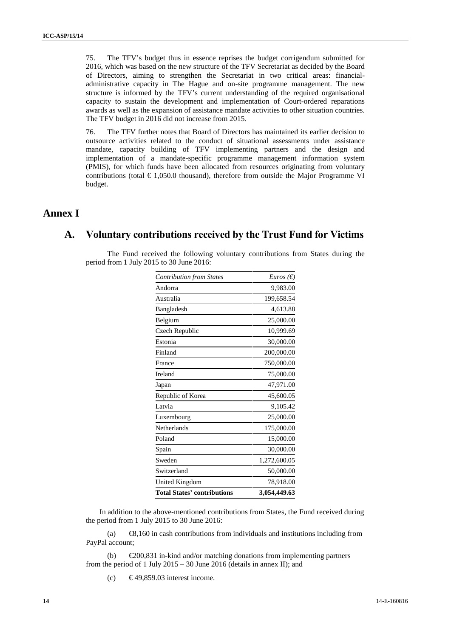75. The TFV's budget thus in essence reprises the budget corrigendum submitted for 2016, which was based on the new structure of the TFV Secretariat as decided by the Board of Directors, aiming to strengthen the Secretariat in two critical areas: financial administrative capacity in The Hague and on-site programme management. The new structure is informed by the TFV's current understanding of the required organisational capacity to sustain the development and implementation of Court-ordered reparations awards as well as the expansion of assistance mandate activities to other situation countries. The TFV budget in 2016 did not increase from 2015.

76. The TFV further notes that Board of Directors has maintained its earlier decision to outsource activities related to the conduct of situational assessments under assistance mandate, capacity building of TFV implementing partners and the design and implementation of a mandate-specific programme management information system (PMIS), for which funds have been allocated from resources originating from voluntary contributions (total  $\epsilon$  1,050.0 thousand), therefore from outside the Major Programme VI budget.

# **Annex I**

# **A. Voluntary contributions received by the Trust Fund for Victims**

The Fund received the following voluntary contributions from States during the period from 1 July 2015 to 30 June 2016:

| <b>Contribution from States</b>    | <i>Euros</i> ( $\epsilon$ ) |
|------------------------------------|-----------------------------|
| Andorra                            | 9,983.00                    |
| Australia                          | 199,658.54                  |
| Bangladesh                         | 4,613.88                    |
| Belgium                            | 25,000.00                   |
| Czech Republic                     | 10,999.69                   |
| Estonia                            | 30,000.00                   |
| Finland                            | 200,000.00                  |
| France                             | 750,000.00                  |
| Ireland                            | 75,000.00                   |
| Japan                              | 47,971.00                   |
| Republic of Korea                  | 45,600.05                   |
| Latvia                             | 9,105.42                    |
| Luxembourg                         | 25,000.00                   |
| Netherlands                        | 175,000.00                  |
| Poland                             | 15,000.00                   |
| Spain                              | 30,000.00                   |
| Sweden                             | 1,272,600.05                |
| Switzerland                        | 50,000.00                   |
| United Kingdom                     | 78,918.00                   |
| <b>Total States' contributions</b> | 3,054,449.63                |

In addition to the above-mentioned contributions from States, the Fund received during the period from 1 July 2015 to 30 June 2016:

(a)  $\bigoplus$ ,160 in cash contributions from individuals and institutions including from PayPal account;

(b)  $\epsilon$ 200,831 in-kind and/or matching donations from implementing partners from the period of 1 July  $2015 - 30$  June 2016 (details in annex II); and

(c)  $\epsilon$  49.859.03 interest income.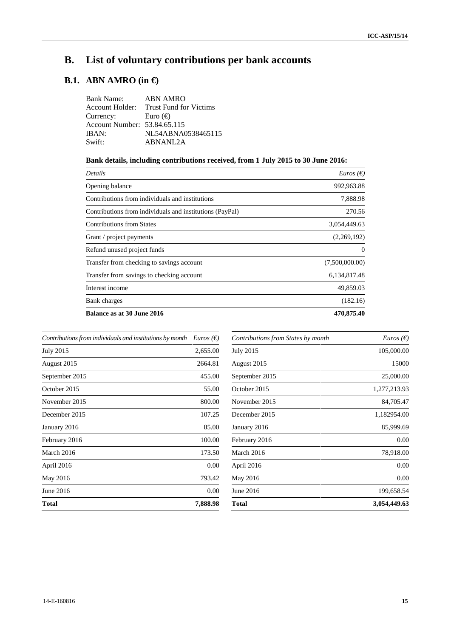# **B. List of voluntary contributions per bank accounts**

# **B.1. ABN AMRO (in €)**

| Bank Name: ABN AMRO          |                                        |
|------------------------------|----------------------------------------|
|                              | Account Holder: Trust Fund for Victims |
| Currency:                    | Euro $(\oplus)$                        |
| Account Number: 53.84.65.115 |                                        |
| IBAN:                        | NL54ABNA0538465115                     |
| Swift:                       | ABNANL2A                               |

# **Bank details, including contributions received, from 1 July 2015 to 30 June 2016:**

| Details                                                  | <i>Euros</i> ( $\epsilon$ ) |
|----------------------------------------------------------|-----------------------------|
| Opening balance                                          | 992,963.88                  |
| Contributions from individuals and institutions          | 7,888.98                    |
| Contributions from individuals and institutions (PayPal) | 270.56                      |
| <b>Contributions from States</b>                         | 3,054,449.63                |
| Grant / project payments                                 | (2,269,192)                 |
| Refund unused project funds                              | 0                           |
| Transfer from checking to savings account                | (7,500,000.00)              |
| Transfer from savings to checking account                | 6,134,817.48                |
| Interest income                                          | 49,859.03                   |
| Bank charges                                             | (182.16)                    |
| Balance as at 30 June 2016                               | 470,875.40                  |

| Contributions from individuals and institutions by month | <i>Euros</i> ( $\epsilon$ ) |
|----------------------------------------------------------|-----------------------------|
| <b>July 2015</b>                                         | 2,655.00                    |
| August 2015                                              | 2664.81                     |
| September 2015                                           | 455.00                      |
| October 2015                                             | 55.00                       |
| November 2015                                            | 800.00                      |
| December 2015                                            | 107.25                      |
| January 2016                                             | 85.00                       |
| February 2016                                            | 100.00                      |
| March 2016                                               | 173.50                      |
| April 2016                                               | 0.00                        |
| May 2016                                                 | 793.42                      |
| June 2016                                                | 0.00                        |
| Total                                                    | 7,888.98                    |

| <i>Euros</i> ( $\epsilon$ ) |
|-----------------------------|
| 105,000.00                  |
| 15000                       |
| 25,000.00                   |
| 1,277,213.93                |
| 84,705.47                   |
| 1,182954.00                 |
| 85,999.69                   |
| 0.00                        |
| 78,918.00                   |
| 0.00                        |
| 0.00                        |
| 199,658.54                  |
| 3,054,449.63                |
|                             |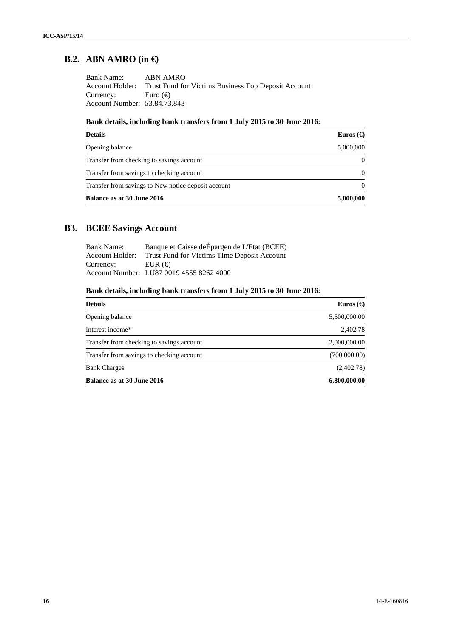# **B.2. ABN AMRO (in €)**

| Bank Name:                   | ABN AMRO                                                            |
|------------------------------|---------------------------------------------------------------------|
|                              | Account Holder: Trust Fund for Victims Business Top Deposit Account |
| Currency: Euro $(\oplus)$    |                                                                     |
| Account Number: 53.84.73.843 |                                                                     |

# **Bank details, including bank transfers from 1 July 2015 to 30 June 2016:**

| <b>Details</b>                                      | Euros $\Theta$ |
|-----------------------------------------------------|----------------|
| Opening balance                                     | 5,000,000      |
| Transfer from checking to savings account           |                |
| Transfer from savings to checking account           |                |
| Transfer from savings to New notice deposit account |                |
| Balance as at 30 June 2016                          | 5,000,000      |

# **B3. BCEE Savings Account**

| <b>Bank Name:</b> | Banque et Caisse de Epargen de L'Etat (BCEE)                |
|-------------------|-------------------------------------------------------------|
|                   | Account Holder: Trust Fund for Victims Time Deposit Account |
| Currency:         | EUR $\Theta$                                                |
|                   | Account Number: LU87 0019 4555 8262 4000                    |

# **Bank details, including bank transfers from 1 July 2015 to 30 June 2016:**

| <b>Details</b>                            | Euros $\Theta$ |
|-------------------------------------------|----------------|
| Opening balance                           | 5,500,000.00   |
| Interest income*                          | 2,402.78       |
| Transfer from checking to savings account | 2,000,000.00   |
| Transfer from savings to checking account | (700,000.00)   |
| <b>Bank Charges</b>                       | (2,402.78)     |
| Balance as at 30 June 2016                | 6,800,000.00   |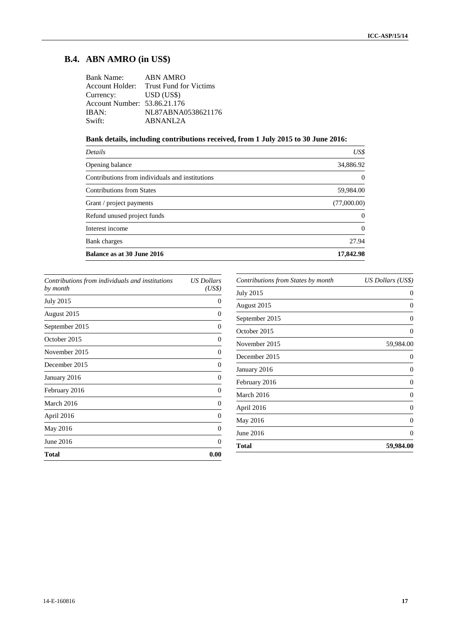# **B.4. ABN AMRO (in US\$)**

| Bank Name: ABN AMRO                    |
|----------------------------------------|
| Account Holder: Trust Fund for Victims |
| Currency: USD (US\$)                   |
| Account Number: 53.86.21.176           |
| NL87ABNA0538621176                     |
| ABNANL2A                               |
|                                        |

# **Bank details, including contributions received, from 1 July 2015 to 30 June 2016:**

| <b>Details</b>                                  | US\$        |
|-------------------------------------------------|-------------|
| Opening balance                                 | 34,886.92   |
| Contributions from individuals and institutions | 0           |
| <b>Contributions from States</b>                | 59,984.00   |
| Grant / project payments                        | (77,000.00) |
| Refund unused project funds                     |             |
| Interest income                                 | 0           |
| Bank charges                                    | 27.94       |
| Balance as at 30 June 2016                      | 17,842.98   |
|                                                 |             |

| Contributions from individuals and institutions<br>by month | <b>US</b> Dollars<br>(US\$) |
|-------------------------------------------------------------|-----------------------------|
| July 2015                                                   | 0                           |
| August 2015                                                 | 0                           |
| September 2015                                              | $\theta$                    |
| October 2015                                                | 0                           |
| November 2015                                               | 0                           |
| December 2015                                               | 0                           |
| January 2016                                                | 0                           |
| February 2016                                               | 0                           |
| March 2016                                                  | 0                           |
| April 2016                                                  | 0                           |
| May 2016                                                    | $\Omega$                    |
| June 2016                                                   | 0                           |
| <b>Total</b>                                                | 0.00                        |
|                                                             |                             |

| 0         |
|-----------|
|           |
| 0         |
| 0         |
| O         |
| 59,984.00 |
|           |
| 0         |
| $\theta$  |
|           |
| 0         |
| 0         |
| 0         |
| 59,984.00 |
|           |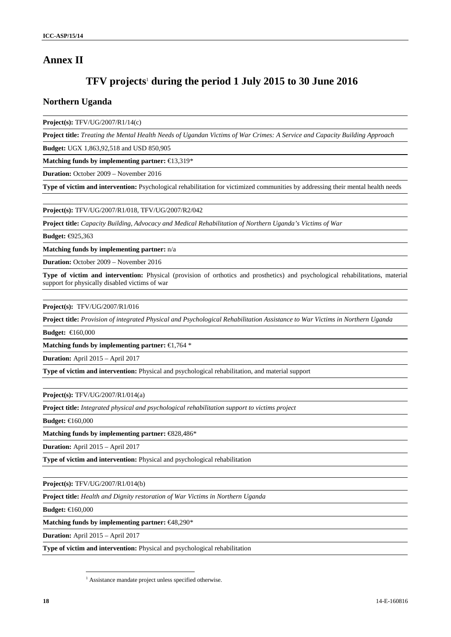# **Annex II**

# **TFV projects**<sup>1</sup> **during the period 1 July 2015 to 30 June 2016**

### **Northern Uganda**

**Project(s):** TFV/UG/2007/R1/14(c)

**Project title:** *Treating the Mental Health Needs of Ugandan Victims of War Crimes: A Service and Capacity Building Approach*

**Budget:** UGX 1,863,92,518 and USD 850,905

**Matching funds by implementing partner:** €13,319\*

**Duration:** October 2009 – November 2016

**Type of victim and intervention:** Psychological rehabilitation for victimized communities by addressing their mental health needs

**Project(s):** TFV/UG/2007/R1/018, TFV/UG/2007/R2/042

**Project title:** *Capacity Building, Advocacy and Medical Rehabilitation of Northern Uganda's Victims of War*

**Budget:** €925,363

**Matching funds by implementing partner:** n/a

**Duration:** October 2009 – November 2016

**Type of victim and intervention:** Physical (provision of orthotics and prosthetics) and psychological rehabilitations, material support for physically disabled victims of war

**Project(s):** TFV/UG/2007/R1/016

**Project title:** *Provision of integrated Physical and Psychological Rehabilitation Assistance to War Victims in Northern Uganda*

**Budget:** €160,000

**Matching funds by implementing partner:** €1,764 \*

**Duration:** April 2015 – April 2017

**Type of victim and intervention:** Physical and psychological rehabilitation, and material support

**Project(s):** TFV/UG/2007/R1/014(a)

**Project title:** *Integrated physical and psychological rehabilitation support to victims project*

**Budget:** €160,000

**Matching funds by implementing partner:** €828,486\*

**Duration:** April 2015 – April 2017

**Type of victim and intervention:** Physical and psychological rehabilitation

**Project(s):** TFV/UG/2007/R1/014(b)

**Project title:** *Health and Dignity restoration of War Victims in Northern Uganda*

**Budget:** €160,000

**Matching funds by implementing partner:** €48,290\*

**Duration:** April 2015 – April 2017

**Type of victim and intervention:** Physical and psychological rehabilitation

<sup>&</sup>lt;sup>1</sup> Assistance mandate project unless specified otherwise.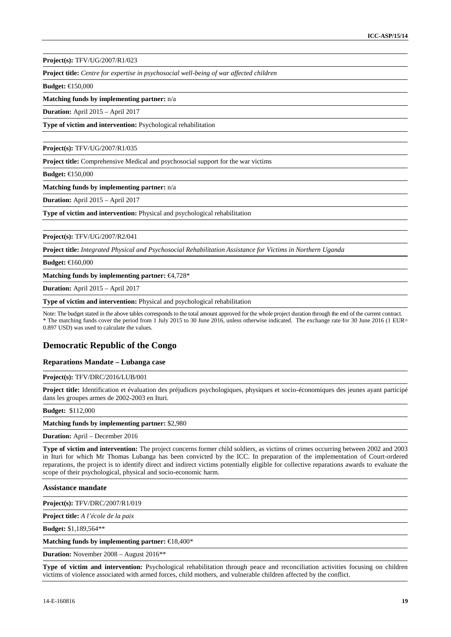**Project(s):** TFV/UG/2007/R1/023

**Project title:** *Centre for expertise in psychosocial well-being of war affected children*

**Budget:** €150,000

**Matching funds by implementing partner:** n/a

**Duration:** April 2015 – April 2017

**Type of victim and intervention:** Psychological rehabilitation

**Project(s):** TFV/UG/2007/R1/035

**Project title:** Comprehensive Medical and psychosocial support for the war victims

**Budget:** €150,000

**Matching funds by implementing partner:** n/a

**Duration:** April 2015 – April 2017

**Type of victim and intervention:** Physical and psychological rehabilitation

**Project(s):** TFV/UG/2007/R2/041

**Project title:** *Integrated Physical and Psychosocial Rehabilitation Assistance for Victims in Northern Uganda*

**Budget:** €160,000

**Matching funds by implementing partner:** €4,728\*

**Duration:** April 2015 – April 2017

**Type of victim and intervention:** Physical and psychological rehabilitation

Note: The budget stated in the above tables corresponds to the total amount approved for the whole project duration through the end of the current contract. \* The matching funds cover the period from 1 July 2015 to 30 June 2016, unless otherwise indicated. The exchange rate for 30 June 2016 (1 EUR= 0.897 USD) was used to calculate the values.

### **Democratic Republic of the Congo**

#### **Reparations Mandate – Lubanga case**

**Project(s):** TFV/DRC/2016/LUB/001

**Project title:** Identification et évaluation des préjudices psychologiques, physiques et socio-économiques des jeunes ayant participé dans les groupes armes de 2002-2003 en Ituri.

#### **Budget:** \$112,000

**Matching funds by implementing partner:** \$2,980

**Duration:** April – December 2016

**Type of victim and intervention:** The project concerns former child soldiers, as victims of crimes occurring between 2002 and 2003 in Ituri for which Mr Thomas Lubanga has been convicted by the ICC. In preparation of the implementation of Court-ordered reparations, the project is to identify direct and indirect victims potentially eligible for collective reparations awards to evaluate the scope of their psychological, physical and socio-economic harm.

**Assistance mandate**

**Project(s):** TFV/DRC/2007/R1/019

**Project title:** *A l'école de la paix*

**Budget:** \$1,189,564\*\*

**Matching funds by implementing partner:** €18,400\*

**Duration:** November 2008 – August 2016\*\*

**Type of victim and intervention:** Psychological rehabilitation through peace and reconciliation activities focusing on children victims of violence associated with armed forces, child mothers, and vulnerable children affected by the conflict.